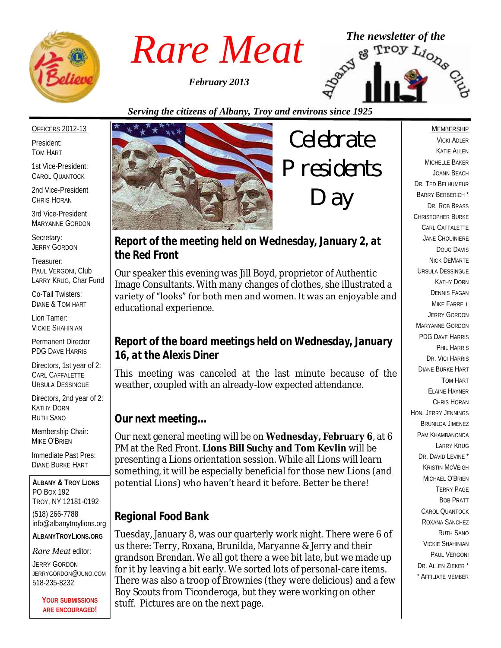

*February 2013*



*Serving the citizens of Albany, Troy and environs since 1925*

#### OFFICERS 2012-13

President: TOM HART

1st Vice-President: CAROL QUANTOCK

2nd Vice-President CHRIS HORAN

3rd Vice-President MARYANNE GORDON

Secretary: JERRY GORDON

Treasurer: PAUL VERGONI, Club LARRY KRUG, Char Fund

Co-Tail Twisters: DIANE & TOM HART

Lion Tamer: VICKIE SHAHINIAN

Permanent Director PDG DAVE HARRIS

Directors, 1st year of 2: CARL CAFFALETTE URSULA DESSINGUE

Directors, 2nd year of 2: KATHY DORN RUTH SANO

Membership Chair: MIKE O'BRIEN

Immediate Past Pres: DIANE BURKE HART

**ALBANY & TROY LIONS** PO BOX 192 TROY, NY 12181-0192 (518) 266-7788 info@albanytroylions.org **ALBANYTROYLIONS.ORG**

*Rare Meat* editor:

JERRY GORDON JERRYGORDON@JUNO.COM 518-235-8232

> **YOUR SUBMISSIONS ARE ENCOURAGED!**



*Celebrate Presidents Day*

*Report of the meeting held on Wednesday, January 2, at the Red Front* 

Our speaker this evening was Jill Boyd, proprietor of Authentic Image Consultants. With many changes of clothes, she illustrated a variety of "looks" for both men and women. It was an enjoyable and educational experience.

#### *Report of the board meetings held on Wednesday, January 16, at the Alexis Diner*

This meeting was canceled at the last minute because of the weather, coupled with an already-low expected attendance.

#### *Our next meeting...*

Our next general meeting will be on **Wednesday, February 6**, at 6 PM at the Red Front. **Lions Bill Suchy and Tom Kevlin** will be presenting a Lions orientation session. While all Lions will learn something, it will be especially beneficial for those new Lions (and potential Lions) who haven't heard it before. Better be there!

### *Regional Food Bank*

Tuesday, January 8, was our quarterly work night. There were 6 of us there: Terry, Roxana, Brunilda, Maryanne & Jerry and their grandson Brendan. We all got there a wee bit late, but we made up for it by leaving a bit early. We sorted lots of personal-care items. There was also a troop of Brownies (they were delicious) and a few Boy Scouts from Ticonderoga, but they were working on other stuff. Pictures are on the next page.

#### MEMBERSHIP

VICKI ADLER KATIE ALLEN MICHELLE BAKER JOANN BEACH DR. TED BELHUMEUR BARRY BERBERICH \* DR. ROB BRASS CHRISTOPHER BURKE CARL CAFFALETTE JANE CHOUINIERE DOUG DAVIS NICK DEMARTE URSULA DESSINGUE KATHY DORN DENNIS FAGAN MIKE FARRELL JERRY GORDON MARYANNE GORDON PDG DAVE HARRIS PHIL HARRIS DR. VICI HARRIS DIANE BURKE HART TOM HART ELAINE HAYNER CHRIS HORAN HON. JERRY JENNINGS BRUNILDA JIMENEZ PAM KHAMBANONDA LARRY KRUG DR. DAVID LEVINE<sup>\*</sup> KRISTIN MCVEIGH MICHAEL O'BRIEN TERRY PAGE BOB PRATT CAROL QUANTOCK ROXANA SANCHEZ RUTH SANO VICKIE SHAHINIAN PAUL VERGONI DR. ALLEN ZIEKER \* \* AFFILIATE MEMBER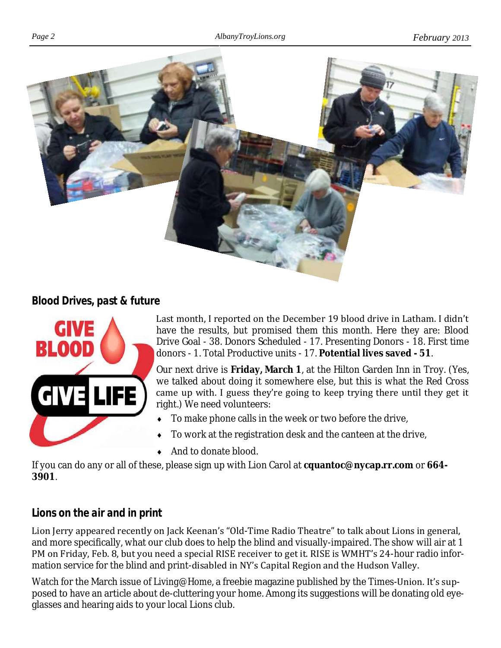

#### *Blood Drives, past & future*



Last month, I reported on the December 19 blood drive in Latham. I didn't have the results, but promised them this month. Here they are: Blood Drive Goal - 38. Donors Scheduled - 17. Presenting Donors - 18. First time donors - 1. Total Productive units - 17. **Potential lives saved - 51**.

Our next drive is **Friday, March 1**, at the Hilton Garden Inn in Troy. (Yes, we talked about doing it somewhere else, but this is what the Red Cross came up with. I guess they're going to keep trying there until they get it right.) We need volunteers:

- $\bullet$  To make phone calls in the week or two before the drive,
- To work at the registration desk and the canteen at the drive,
- And to donate blood.

If you can do any or all of these, please sign up with Lion Carol at **cquantoc@nycap.rr.com** or **664- 3901**.

### *Lions on the air and in print*

Lion Jerry appeared recently on Jack Keenan's "Old-Time Radio Theatre" to talk about Lions in general, and more specifically, what our club does to help the blind and visually-impaired. The show will air at 1 PM on Friday, Feb. 8, but you need a special RISE receiver to get it. RISE is WMHT's 24-hour radio information service for the blind and print-disabled in NY's Capital Region and the Hudson Valley.

Watch for the March issue of *Living@Home*, a freebie magazine published by the Times-Union. It's supposed to have an article about de-cluttering your home. Among its suggestions will be donating old eyeglasses and hearing aids to your local Lions club.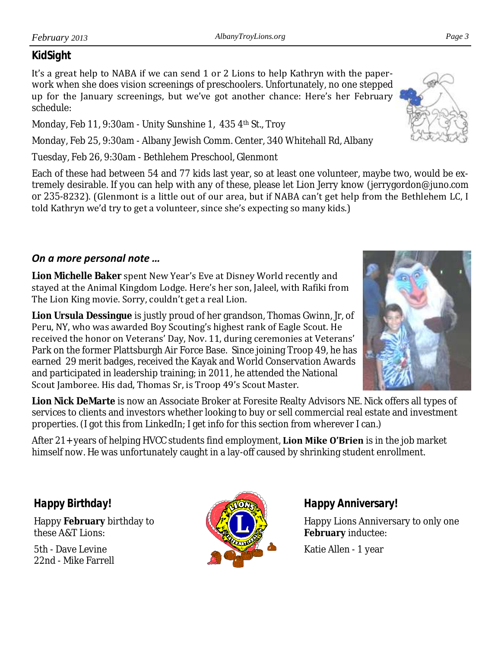## *KidSight*

It's a great help to NABA if we can send 1 or 2 Lions to help Kathryn with the paperwork when she does vision screenings of preschoolers. Unfortunately, no one stepped up for the January screenings, but we've got another chance: Here's her February schedule:

Monday, Feb 11, 9:30am - Unity Sunshine 1, 435 4th St., Troy

Monday, Feb 25, 9:30am - Albany Jewish Comm. Center, 340 Whitehall Rd, Albany

Tuesday, Feb 26, 9:30am - Bethlehem Preschool, Glenmont

Each of these had between 54 and 77 kids last year, so at least one volunteer, maybe two, would be extremely desirable. If you can help with any of these, please let Lion Jerry know (jerrygordon@juno.com or 235-8232). (Glenmont is a little out of our area, but if NABA can't get help from the Bethlehem LC, I told Kathryn we'd try to get a volunteer, since she's expecting so many kids.)

## *On a more personal note …*

**Lion Michelle Baker** spent New Year's Eve at Disney World recently and stayed at the Animal Kingdom Lodge. Here's her son, Jaleel, with Rafiki from The Lion King movie. Sorry, couldn't get a real Lion.

**Lion Ursula Dessingue** is justly proud of her grandson, Thomas Gwinn, Jr, of Peru, NY, who was awarded Boy Scouting's highest rank of Eagle Scout. He received the honor on Veterans' Day, Nov. 11, during ceremonies at Veterans' Park on the former Plattsburgh Air Force Base. Since joining Troop 49, he has earned 29 merit badges, received the Kayak and World Conservation Awards and participated in leadership training; in 2011, he attended the National Scout Jamboree. His dad, Thomas Sr, is Troop 49's Scout Master.

**Lion Nick DeMarte** is now an Associate Broker at Foresite Realty Advisors NE. Nick offers all types of services to clients and investors whether looking to buy or sell commercial real estate and investment properties. (I got this from LinkedIn; I get info for this section from wherever I can.)

After 21+ years of helping HVCC students find employment, **Lion Mike O'Brien** is in the job market himself now. He was unfortunately caught in a lay-off caused by shrinking student enrollment.

*Happy Birthday!*

Happy **February** birthday to these A&T Lions:

5th - Dave Levine 22nd - Mike Farrell



*Happy Anniversary!*

Happy Lions Anniversary to only one **February** inductee:

Katie Allen - 1 year



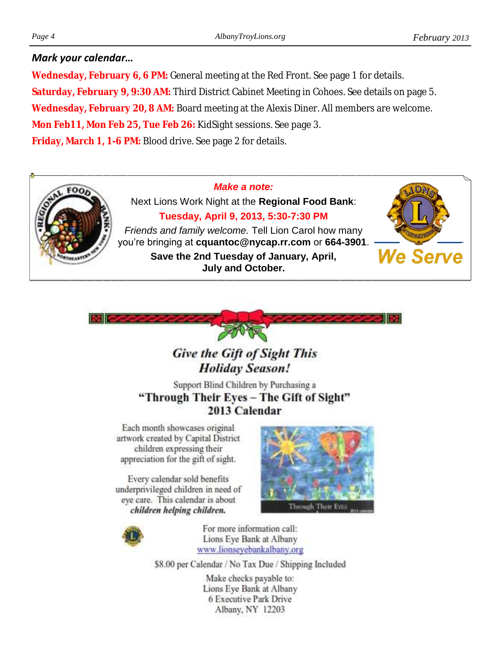#### *Mark your calendar…*

**Wednesday, February 6, 6 PM:** General meeting at the Red Front. See page 1 for details. **Saturday, February 9, 9:30 AM:** Third District Cabinet Meeting in Cohoes. See details on page 5. **Wednesday, February 20, 8 AM:** Board meeting at the Alexis Diner. All members are welcome. **Mon Feb11, Mon Feb 25, Tue Feb 26:** KidSight sessions. See page 3. **Friday, March 1, 1-6 PM:** Blood drive. See page 2 for details.

#### *Make a note:*



Next Lions Work Night at the **Regional Food Bank**: **Tuesday, April 9, 2013, 5:30-7:30 PM**

*Friends and family welcome.* Tell Lion Carol how many you're bringing at **cquantoc@nycap.rr.com** or **664-3901**. **Save the 2nd Tuesday of January, April, July and October.**





## **Give the Gift of Sight This Holiday Season!**

Support Blind Children by Purchasing a "Through Their Eyes - The Gift of Sight" 2013 Calendar

Each month showcases original artwork created by Capital District children expressing their appreciation for the gift of sight.

Every calendar sold benefits underprivileged children in need of eye care. This calendar is about children helping children.





For more information call: Lions Eye Bank at Albany www.lionseyebankalbany.org

\$8.00 per Calendar / No Tax Due / Shipping Included

Make checks payable to: Lions Eye Bank at Albany 6 Executive Park Drive Albany, NY 12203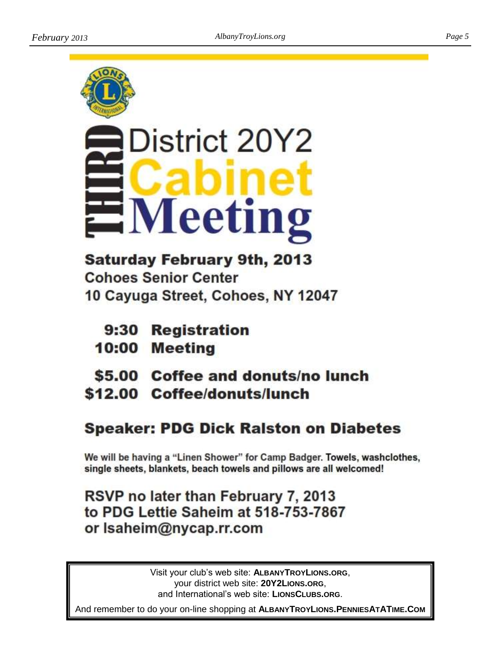



# District 20Y2 leetii

**Saturday February 9th, 2013 Cohoes Senior Center** 10 Cayuga Street, Cohoes, NY 12047

- 9:30 Registration
- 10:00 Meeting
- \$5.00 Coffee and donuts/no lunch
- \$12.00 Coffee/donuts/lunch

# **Speaker: PDG Dick Ralston on Diabetes**

We will be having a "Linen Shower" for Camp Badger. Towels, washclothes, single sheets, blankets, beach towels and pillows are all welcomed!

# RSVP no later than February 7, 2013 to PDG Lettie Saheim at 518-753-7867 or Isaheim@nycap.rr.com

Visit your club's web site: **ALBANYTROYLIONS.ORG**, your district web site: **20Y2LIONS.ORG**, and International's web site: **LIONSCLUBS.ORG**.

And remember to do your on-line shopping at **ALBANYTROYLIONS.PENNIESATATIME.COM**